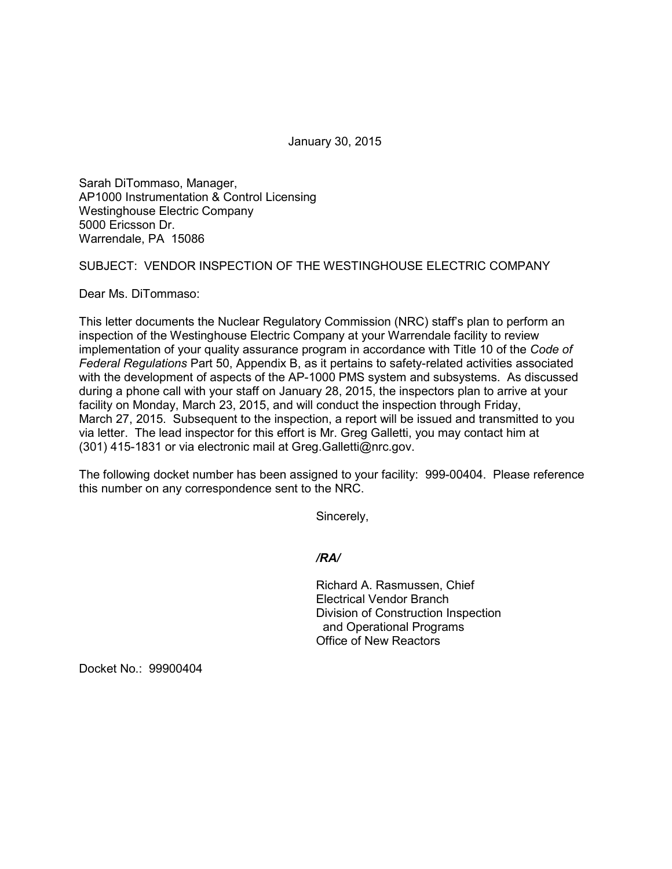January 30, 2015

Sarah DiTommaso, Manager, AP1000 Instrumentation & Control Licensing Westinghouse Electric Company 5000 Ericsson Dr. Warrendale, PA 15086

SUBJECT: VENDOR INSPECTION OF THE WESTINGHOUSE ELECTRIC COMPANY

Dear Ms. DiTommaso:

This letter documents the Nuclear Regulatory Commission (NRC) staff's plan to perform an inspection of the Westinghouse Electric Company at your Warrendale facility to review implementation of your quality assurance program in accordance with Title 10 of the *Code of Federal Regulations* Part 50, Appendix B, as it pertains to safety-related activities associated with the development of aspects of the AP-1000 PMS system and subsystems. As discussed during a phone call with your staff on January 28, 2015, the inspectors plan to arrive at your facility on Monday, March 23, 2015, and will conduct the inspection through Friday, March 27, 2015. Subsequent to the inspection, a report will be issued and transmitted to you via letter. The lead inspector for this effort is Mr. Greg Galletti, you may contact him at (301) 415-1831 or via electronic mail at Greg.Galletti@nrc.gov.

The following docket number has been assigned to your facility: 999-00404. Please reference this number on any correspondence sent to the NRC.

Sincerely,

*/RA/*

Richard A. Rasmussen, Chief Electrical Vendor Branch Division of Construction Inspection and Operational Programs Office of New Reactors

Docket No.: 99900404